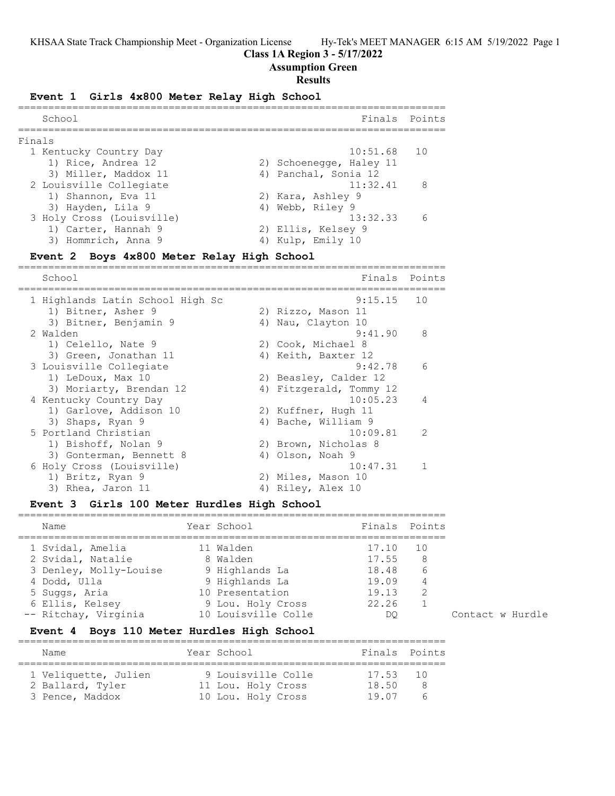## **Class 1A Region 3 - 5/17/2022**

## **Assumption Green**

## **Results**

## **Event 1 Girls 4x800 Meter Relay High School**

| School                    | Finals Points           |  |
|---------------------------|-------------------------|--|
| Finals                    |                         |  |
| 1 Kentucky Country Day    | $10:51.68$ 10           |  |
| 1) Rice, Andrea 12        | 2) Schoenegge, Haley 11 |  |
| 3) Miller, Maddox 11      | 4) Panchal, Sonia 12    |  |
| 2 Louisville Collegiate   | 11:32.41 8              |  |
| 1) Shannon, Eva 11        | 2) Kara, Ashley 9       |  |
| 3) Hayden, Lila 9         | 4) Webb, Riley 9        |  |
| 3 Holy Cross (Louisville) | 13:32.33                |  |
| 1) Carter, Hannah 9       | 2) Ellis, Kelsey 9      |  |
| 3) Hommrich, Anna 9       | Kulp, Emily 10          |  |
|                           |                         |  |

# **Event 2 Boys 4x800 Meter Relay High School**

| School                           | Finals                  | Points         |
|----------------------------------|-------------------------|----------------|
| 1 Highlands Latin School High Sc | 9:15.15                 | 10             |
| 1) Bitner, Asher 9               | 2) Rizzo, Mason 11      |                |
| 3) Bitner, Benjamin 9            | 4) Nau, Clayton 10      |                |
| 2 Walden                         | 9:41.90                 | 8              |
| 1) Celello, Nate 9               | 2) Cook, Michael 8      |                |
| 3) Green, Jonathan 11            | 4) Keith, Baxter 12     |                |
| 3 Louisville Collegiate          | 9:42.78                 | 6              |
| 1) LeDoux, Max 10                | 2) Beasley, Calder 12   |                |
| 3) Moriarty, Brendan 12          | 4) Fitzgerald, Tommy 12 |                |
| 4 Kentucky Country Day           | 10:05.23                | $\overline{4}$ |
| 1) Garlove, Addison 10           | 2) Kuffner, Hugh 11     |                |
| 3) Shaps, Ryan 9                 | 4) Bache, William 9     |                |
| 5 Portland Christian             | 10:09.81                | 2              |
| 1) Bishoff, Nolan 9              | 2) Brown, Nicholas 8    |                |
| 3) Gonterman, Bennett 8          | 4) Olson, Noah 9        |                |
| 6 Holy Cross (Louisville)        | 10:47.31                |                |
| 1) Britz, Ryan 9                 | 2) Miles, Mason 10      |                |
| 3) Rhea, Jaron 11                | 4) Riley, Alex 10       |                |

## **Event 3 Girls 100 Meter Hurdles High School**

| Name                   | Year School         | Finals Points |                |
|------------------------|---------------------|---------------|----------------|
| 1 Svidal, Amelia       | 11 Walden           | 17.10         | 1 O            |
| 2 Svidal, Natalie      | 8 Walden            | 17.55         | - 8            |
| 3 Denley, Molly-Louise | 9 Highlands La      | 18.48         | 6              |
| 4 Dodd, Ulla           | 9 Highlands La      | 19.09         | $\overline{4}$ |
| 5 Suggs, Aria          | 10 Presentation     | 19.13         | -2             |
| 6 Ellis, Kelsey        | 9 Lou. Holy Cross   | 22.26         |                |
| -- Ritchav, Virginia   | 10 Louisville Colle | DO            |                |

## **Event 4 Boys 110 Meter Hurdles High School**

| Name                                | Year School                              | Finals Points     |  |
|-------------------------------------|------------------------------------------|-------------------|--|
| 1 Veliquette, Julien                | 9 Louisville Colle                       | 17.53 10<br>18.50 |  |
| 2 Ballard, Tyler<br>3 Pence, Maddox | 11 Lou. Holy Cross<br>10 Lou. Holy Cross | 19 07             |  |

Contact w Hurdle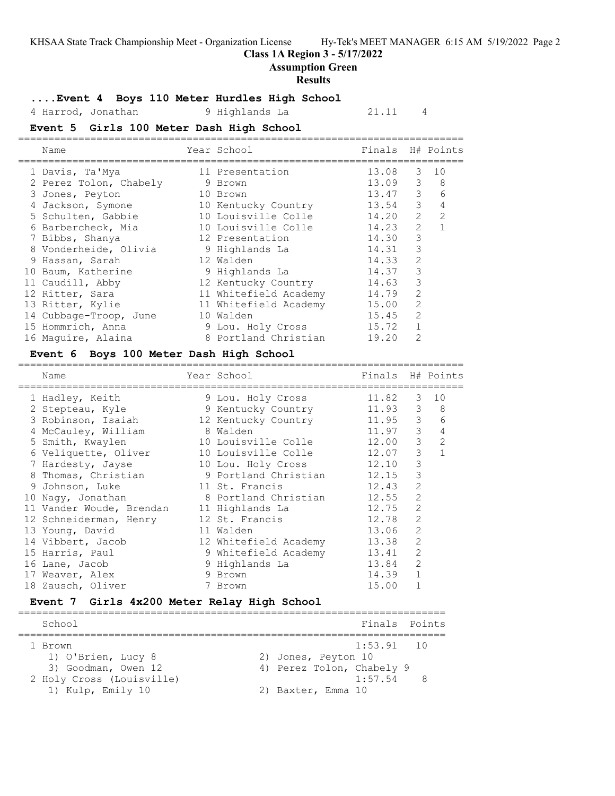## **Class 1A Region 3 - 5/17/2022**

**Assumption Green**

#### **Results**

# **....Event 4 Boys 110 Meter Hurdles High School**

4 Harrod, Jonathan 9 Highlands La 21.11 4

#### **Event 5 Girls 100 Meter Dash High School** ==========================================================================

| Name                   | Year School           | Finals H# Points |                |    |
|------------------------|-----------------------|------------------|----------------|----|
| 1 Davis, Ta'Mya        | 11 Presentation       | 13.08            | 3              | 10 |
| 2 Perez Tolon, Chabely | 9 Brown               | 13.09            | $\mathcal{E}$  | 8  |
| 3 Jones, Peyton        | 10 Brown              | 13.47            | 3              | 6  |
| 4 Jackson, Symone      | 10 Kentucky Country   | 13.54            | 3              | 4  |
| 5 Schulten, Gabbie     | 10 Louisville Colle   | 14.20            | $\mathcal{L}$  | 2  |
| 6 Barbercheck, Mia     | 10 Louisville Colle   | 14.23            | 2              |    |
| 7 Bibbs, Shanya        | 12 Presentation       | 14.30            | 3              |    |
| 8 Vonderheide, Olivia  | 9 Highlands La        | 14.31            | 3              |    |
| 9 Hassan, Sarah        | 12 Walden             | 14.33            | $\overline{2}$ |    |
| 10 Baum, Katherine     | 9 Highlands La        | 14.37            | 3              |    |
| 11 Caudill, Abby       | 12 Kentucky Country   | 14.63            | 3              |    |
| 12 Ritter, Sara        | 11 Whitefield Academy | 14.79            | 2              |    |
| 13 Ritter, Kylie       | 11 Whitefield Academy | 15.00            | $\mathcal{L}$  |    |
| 14 Cubbage-Troop, June | 10 Walden             | 15.45            | $\mathcal{L}$  |    |
| 15 Hommrich, Anna      | 9 Lou. Holy Cross     | 15.72            |                |    |
| 16 Maguire, Alaina     | 8 Portland Christian  | 19.20            | $\mathcal{D}$  |    |

### **Event 6 Boys 100 Meter Dash High School**

| Name                     | Year School           | Finals H# Points |                |                |
|--------------------------|-----------------------|------------------|----------------|----------------|
| 1 Hadley, Keith          | 9 Lou. Holy Cross     | 11.82            | 3              | 10             |
| 2 Stepteau, Kyle         | 9 Kentucky Country    | 11.93            | 3              | 8              |
| 3 Robinson, Isaiah       | 12 Kentucky Country   | 11.95            | $\mathcal{S}$  | 6              |
| 4 McCauley, William      | 8 Walden              | 11.97            | $\mathcal{S}$  | $\overline{4}$ |
| 5 Smith, Kwaylen         | 10 Louisville Colle   | 12.00            | $\mathcal{S}$  | 2              |
| 6 Veliquette, Oliver     | 10 Louisville Colle   | 12.07            | 3              | $\mathbf{1}$   |
| 7 Hardesty, Jayse        | 10 Lou. Holy Cross    | 12.10            | 3              |                |
| 8 Thomas, Christian      | 9 Portland Christian  | 12.15            | 3              |                |
| 9 Johnson, Luke          | 11 St. Francis        | 12.43            | 2              |                |
| 10 Nagy, Jonathan        | 8 Portland Christian  | 12.55            | $\mathcal{L}$  |                |
| 11 Vander Woude, Brendan | 11 Highlands La       | 12.75            | $\overline{2}$ |                |
| 12 Schneiderman, Henry   | 12 St. Francis        | 12.78            | $\overline{2}$ |                |
| 13 Young, David          | 11 Walden             | 13.06            | $\overline{c}$ |                |
| 14 Vibbert, Jacob        | 12 Whitefield Academy | 13.38            | $\overline{2}$ |                |
| 15 Harris, Paul          | 9 Whitefield Academy  | 13.41            | 2              |                |
| 16 Lane, Jacob           | 9 Highlands La        | 13.84            | 2              |                |
| 17 Weaver, Alex          | 9 Brown               | 14.39            | $\mathbf{1}$   |                |
| 18 Zausch, Oliver        | 7 Brown               | 15.00            |                |                |

## **Event 7 Girls 4x200 Meter Relay High School**

| School                                           |                                          | Finals Points |
|--------------------------------------------------|------------------------------------------|---------------|
| 1 Brown<br>1) O'Brien, Lucy 8                    | $1:53.91$ 10<br>2) Jones, Peyton 10      |               |
| 3) Goodman, Owen 12<br>2 Holy Cross (Louisville) | 4) Perez Tolon, Chabely 9<br>$1:57.54$ 8 |               |
| 1) Kulp, Emily 10                                | 2) Baxter, Emma 10                       |               |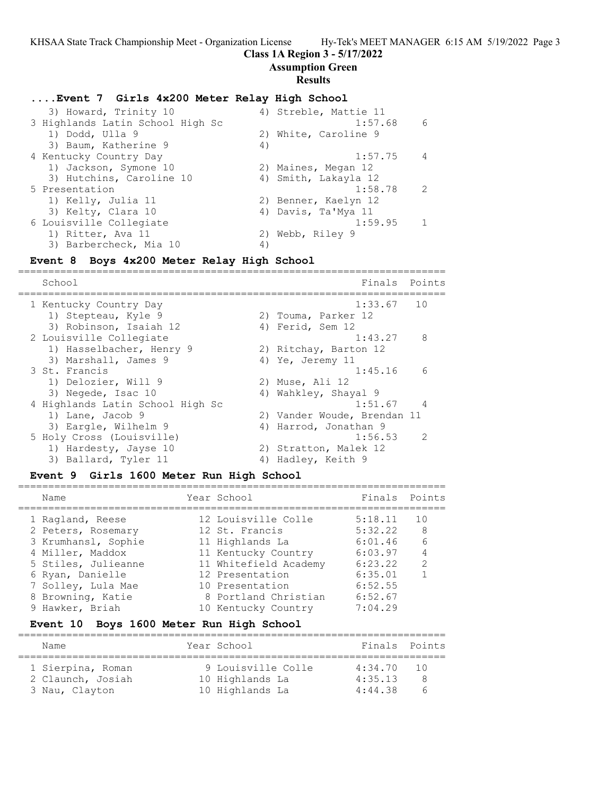## **Class 1A Region 3 - 5/17/2022**

**Assumption Green**

## **Results**

## **....Event 7 Girls 4x200 Meter Relay High School**

| 3) Howard, Trinity 10            | 4) Streble, Mattie 11 |     |
|----------------------------------|-----------------------|-----|
| 3 Highlands Latin School High Sc | 1:57.68               | 6   |
| 1) Dodd, Ulla 9                  | 2) White, Caroline 9  |     |
| 3) Baum, Katherine 9             | 4)                    |     |
| 4 Kentucky Country Day           | 1:57.75               |     |
| 1) Jackson, Symone 10            | 2) Maines, Megan 12   |     |
| 3) Hutchins, Caroline 10         | 4) Smith, Lakayla 12  |     |
| 5 Presentation                   | 1:58.78               | - 2 |
| 1) Kelly, Julia 11               | 2) Benner, Kaelyn 12  |     |
| 3) Kelty, Clara 10               | 4) Davis, Ta'Mya 11   |     |
| 6 Louisville Collegiate          | 1:59.95               |     |
| 1) Ritter, Ava 11                | 2) Webb, Riley 9      |     |
| 3) Barbercheck, Mia 10           | 4)                    |     |

## **Event 8 Boys 4x200 Meter Relay High School**

| School                           |    | Finals                      | Points         |
|----------------------------------|----|-----------------------------|----------------|
| 1 Kentucky Country Day           |    | $1:33.67$ 10                |                |
| 1) Stepteau, Kyle 9              |    | 2) Touma, Parker 12         |                |
| 3) Robinson, Isaiah 12           |    | 4) Ferid, Sem 12            |                |
| 2 Louisville Collegiate          |    | 1:43.27                     | 8              |
| 1) Hasselbacher, Henry 9         |    | 2) Ritchay, Barton 12       |                |
| 3) Marshall, James 9             |    | 4) Ye, Jeremy 11            |                |
| 3 St. Francis                    |    | 1:45.16                     | $\epsilon$     |
| 1) Delozier, Will 9              |    | 2) Muse, Ali 12             |                |
| 3) Negede, Isac 10               |    | 4) Wahkley, Shayal 9        |                |
| 4 Highlands Latin School High Sc |    | 1:51.67                     | $\overline{4}$ |
| 1) Lane, Jacob 9                 |    | 2) Vander Woude, Brendan 11 |                |
| 3) Eargle, Wilhelm 9             |    | 4) Harrod, Jonathan 9       |                |
| 5 Holy Cross (Louisville)        |    | 1:56.53                     | $\mathcal{P}$  |
| 1) Hardesty, Jayse 10            |    | 2) Stratton, Malek 12       |                |
| 3) Ballard, Tyler 11             | 4) | Hadley, Keith 9             |                |

## **Event 9 Girls 1600 Meter Run High School**

| Name                | Year School           | Finals Points |               |
|---------------------|-----------------------|---------------|---------------|
| 1 Ragland, Reese    | 12 Louisville Colle   | 5:18.11       | 1 O           |
| 2 Peters, Rosemary  | 12 St. Francis        | 5:32.22       | -8            |
| 3 Krumhansl, Sophie | 11 Highlands La       | 6:01.46       | 6             |
| 4 Miller, Maddox    | 11 Kentucky Country   | 6:03.97       |               |
| 5 Stiles, Julieanne | 11 Whitefield Academy | 6:23.22       | $\mathcal{P}$ |
| 6 Ryan, Danielle    | 12 Presentation       | 6:35.01       |               |
| 7 Solley, Lula Mae  | 10 Presentation       | 6:52.55       |               |
| 8 Browning, Katie   | 8 Portland Christian  | 6:52.67       |               |
| 9 Hawker, Briah     | 10 Kentucky Country   | 7:04.29       |               |
|                     |                       |               |               |

## **Event 10 Boys 1600 Meter Run High School**

| Name              |  | Year School        | Finals Points |       |  |  |
|-------------------|--|--------------------|---------------|-------|--|--|
| 1 Sierpina, Roman |  | 9 Louisville Colle | 4:34.70       | ່ 1 ∩ |  |  |
| 2 Claunch, Josiah |  | 10 Highlands La    | 4:35.13       | Я     |  |  |
| 3 Nau, Clayton    |  | 10 Highlands La    | 4:44.38       |       |  |  |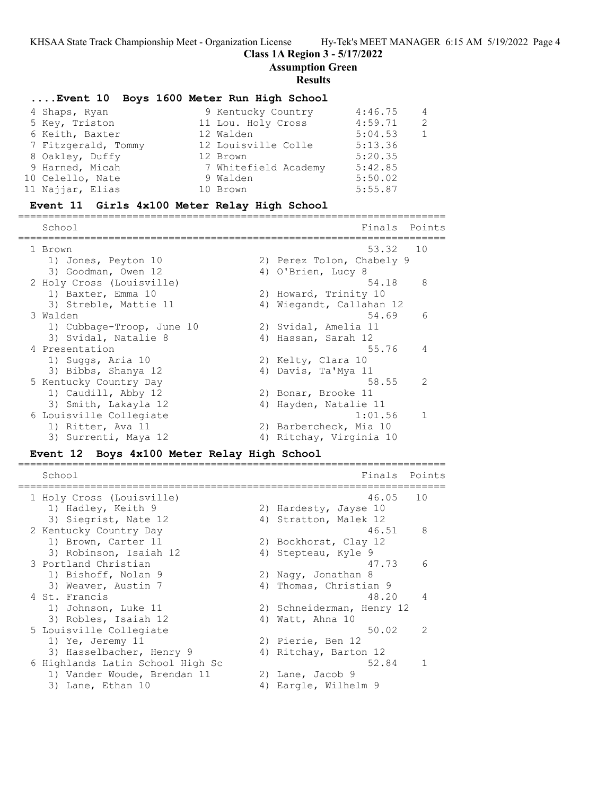## **Class 1A Region 3 - 5/17/2022**

**Assumption Green**

#### **Results**

## **....Event 10 Boys 1600 Meter Run High School**

| 4 Shaps, Ryan       | 9 Kentucky Country   | 4:46.75 | 4 |
|---------------------|----------------------|---------|---|
| 5 Key, Triston      | 11 Lou. Holy Cross   | 4:59.71 | 2 |
| 6 Keith, Baxter     | 12 Walden            | 5:04.53 |   |
| 7 Fitzgerald, Tommy | 12 Louisville Colle  | 5:13.36 |   |
| 8 Oakley, Duffy     | 12 Brown             | 5:20.35 |   |
| 9 Harned, Micah     | 7 Whitefield Academy | 5:42.85 |   |
| 10 Celello, Nate    | 9 Walden             | 5:50.02 |   |
| 11 Najjar, Elias    | 10 Brown             | 5:55.87 |   |

#### **Event 11 Girls 4x100 Meter Relay High School**

======================================================================= School **Finals** Points **Points** Points **Points** Points **Points** Points **Points** Points **Points Points Points Points Points Points Points Points Points Points Points Points Points Points Points** ======================================================================= 1 Brown 53.32 10 1) Jones, Peyton 10 2) Perez Tolon, Chabely 9 3) Goodman, Owen 12 4) O'Brien, Lucy 8 2 Holy Cross (Louisville) 54.18 8 1) Baxter, Emma 10 2) Howard, Trinity 10 3) Streble, Mattie 11 (4) Wiegandt, Callahan 12 3 Walden 54.69 6 1) Cubbage-Troop, June 10 2) Svidal, Amelia 11 3) Svidal, Natalie 8 4) Hassan, Sarah 12 4 Presentation 55.76 4 1) Suggs, Aria 10 2) Kelty, Clara 10 3) Bibbs, Shanya 12 4) Davis, Ta'Mya 11 5 Kentucky Country Day 58.55 2 1) Caudill, Abby 12 2) Bonar, Brooke 11 3) Smith, Lakayla 12 4) Hayden, Natalie 11 6 Louisville Collegiate 1:01.56 1 1) Ritter, Ava 11 2) Barbercheck, Mia 10 3) Surrenti, Maya 12 4) Ritchay, Virginia 10

#### **Event 12 Boys 4x100 Meter Relay High School**

|  | School                           | Finals                    | Points         |
|--|----------------------------------|---------------------------|----------------|
|  | 1 Holy Cross (Louisville)        | 46.05                     | 10             |
|  | 1) Hadley, Keith 9               | 2) Hardesty, Jayse 10     |                |
|  | 3) Siegrist, Nate 12             | 4) Stratton, Malek 12     |                |
|  | 2 Kentucky Country Day           | 46.51                     | 8              |
|  | 1) Brown, Carter 11              | 2) Bockhorst, Clay 12     |                |
|  | 3) Robinson, Isaiah 12           | 4) Stepteau, Kyle 9       |                |
|  | 3 Portland Christian             | 47.73                     | 6              |
|  | 1) Bishoff, Nolan 9              | 2) Nagy, Jonathan 8       |                |
|  | 3) Weaver, Austin 7              | 4) Thomas, Christian 9    |                |
|  | 4 St. Francis                    | 48.20                     | $\overline{4}$ |
|  | 1) Johnson, Luke 11              | 2) Schneiderman, Henry 12 |                |
|  | 3) Robles, Isaiah 12             | 4) Watt, Ahna 10          |                |
|  | 5 Louisville Collegiate          | 50.02                     | $\mathcal{P}$  |
|  | 1) Ye, Jeremy 11                 | 2) Pierie, Ben 12         |                |
|  | 3) Hasselbacher, Henry 9         | 4) Ritchay, Barton 12     |                |
|  | 6 Highlands Latin School High Sc | 52.84                     | $\mathbf{1}$   |
|  | 1) Vander Woude, Brendan 11      | 2) Lane, Jacob 9          |                |
|  | 3) Lane, Ethan 10                | 4) Eargle, Wilhelm 9      |                |
|  |                                  |                           |                |

=======================================================================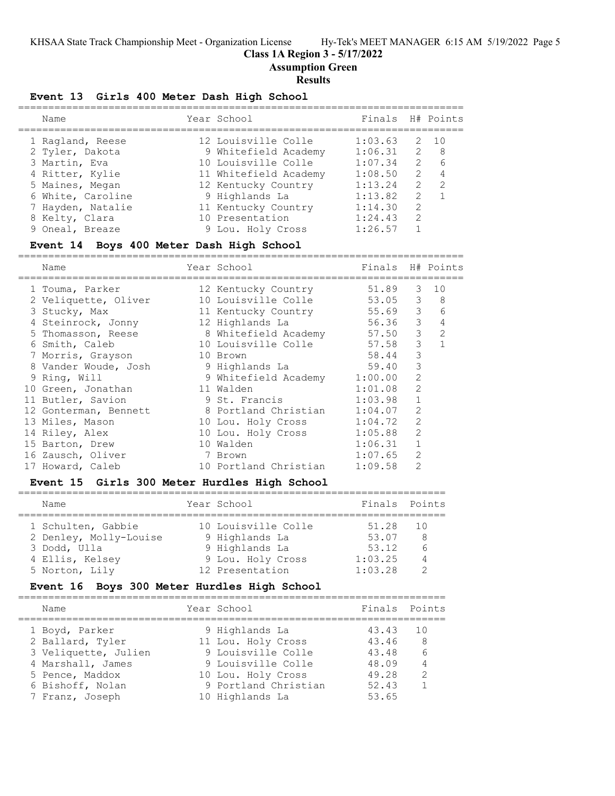## **Class 1A Region 3 - 5/17/2022**

**Assumption Green**

#### **Results**

## **Event 13 Girls 400 Meter Dash High School**

| Name              | Year School           | Finals H# Points |               |                 |
|-------------------|-----------------------|------------------|---------------|-----------------|
| 1 Ragland, Reese  | 12 Louisville Colle   | 1:03.63          |               | 2 10            |
| 2 Tyler, Dakota   | 9 Whitefield Academy  | 1:06.31          |               | 2 8             |
| 3 Martin, Eva     | 10 Louisville Colle   | 1:07.34          |               | $2\overline{6}$ |
| 4 Ritter, Kylie   | 11 Whitefield Academy | 1:08.50          | $\mathcal{L}$ | $\overline{4}$  |
| 5 Maines, Megan   | 12 Kentucky Country   | 1:13.24          | $\mathcal{L}$ | $\overline{2}$  |
| 6 White, Caroline | 9 Highlands La        | 1:13.82          | $\mathcal{L}$ |                 |
| 7 Hayden, Natalie | 11 Kentucky Country   | 1:14.30          | $\mathcal{D}$ |                 |
| 8 Kelty, Clara    | 10 Presentation       | 1:24.43          | $\mathcal{P}$ |                 |
| 9 Oneal, Breaze   | 9 Lou. Holy Cross     | 1:26.57          |               |                 |
|                   |                       |                  |               |                 |

#### **Event 14 Boys 400 Meter Dash High School**

==========================================================================

| Name                  | Year School           | Finals  |                | H# Points |
|-----------------------|-----------------------|---------|----------------|-----------|
| 1 Touma, Parker       | 12 Kentucky Country   | 51.89   | 3              | 10        |
| 2 Veliquette, Oliver  | 10 Louisville Colle   | 53.05   | 3              | 8         |
| 3 Stucky, Max         | 11 Kentucky Country   | 55.69   | 3              | 6         |
| 4 Steinrock, Jonny    | 12 Highlands La       | 56.36   | 3              | 4         |
| 5 Thomasson, Reese    | 8 Whitefield Academy  | 57.50   | 3              | 2         |
| 6 Smith, Caleb        | 10 Louisville Colle   | 57.58   | 3              |           |
| 7 Morris, Grayson     | 10 Brown              | 58.44   | 3              |           |
| 8 Vander Woude, Josh  | 9 Highlands La        | 59.40   | 3              |           |
| 9 Ring, Will          | 9 Whitefield Academy  | 1:00.00 | $\overline{2}$ |           |
| 10 Green, Jonathan    | 11 Walden             | 1:01.08 | $\overline{2}$ |           |
| 11 Butler, Savion     | 9 St. Francis         | 1:03.98 |                |           |
| 12 Gonterman, Bennett | 8 Portland Christian  | 1:04.07 | $\overline{2}$ |           |
| 13 Miles, Mason       | 10 Lou. Holy Cross    | 1:04.72 | $\overline{2}$ |           |
| 14 Riley, Alex        | 10 Lou. Holy Cross    | 1:05.88 | $\overline{2}$ |           |
| 15 Barton, Drew       | 10 Walden             | 1:06.31 |                |           |
| 16 Zausch, Oliver     | 7 Brown               | 1:07.65 | $\overline{2}$ |           |
| 17 Howard, Caleb      | 10 Portland Christian | 1:09.58 | 2              |           |

#### **Event 15 Girls 300 Meter Hurdles High School**

| Name                   | Year School         | Finals Points |                |
|------------------------|---------------------|---------------|----------------|
| 1 Schulten, Gabbie     | 10 Louisville Colle | 51.28         | - 10           |
| 2 Denley, Molly-Louise | 9 Highlands La      | 53.07         | 8              |
| 3 Dodd, Ulla           | 9 Highlands La      | 53.12         | $\epsilon$     |
| 4 Ellis, Kelsey        | 9 Lou. Holy Cross   | 1:03.25       | $\overline{4}$ |
| 5 Norton, Lily         | 12 Presentation     | 1:03.28       |                |

# **Event 16 Boys 300 Meter Hurdles High School**

| Name                 | Year School          | Finals Points |                |
|----------------------|----------------------|---------------|----------------|
| 1 Boyd, Parker       | 9 Highlands La       | 43.43         | 1 O            |
| 2 Ballard, Tyler     | 11 Lou. Holy Cross   | 43.46         | -8             |
| 3 Veliquette, Julien | 9 Louisville Colle   | 43.48         | 6              |
| 4 Marshall, James    | 9 Louisville Colle   | 48.09         | $\overline{4}$ |
| 5 Pence, Maddox      | 10 Lou. Holy Cross   | 49.28         | $\mathcal{L}$  |
| 6 Bishoff, Nolan     | 9 Portland Christian | 52.43         |                |
| 7 Franz, Joseph      | 10 Highlands La      | 53.65         |                |
|                      |                      |               |                |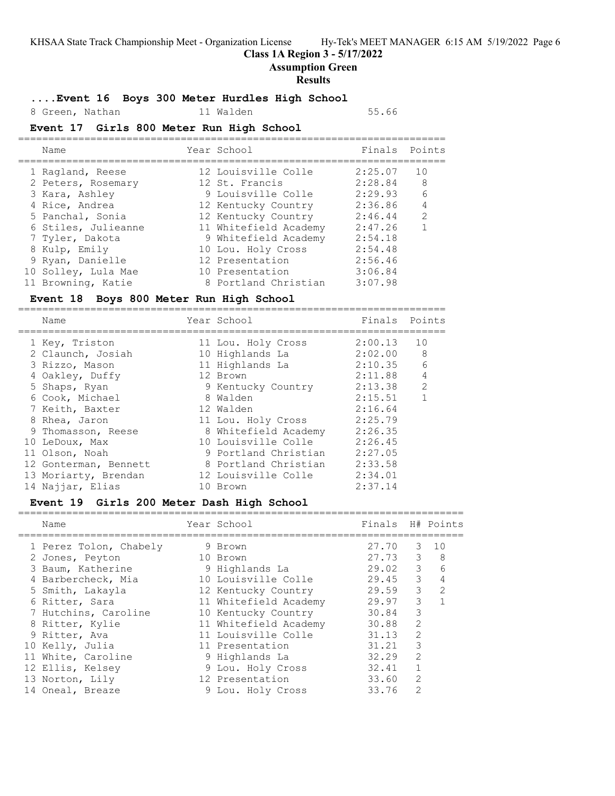## **Class 1A Region 3 - 5/17/2022**

**Assumption Green**

#### **Results**

**....Event 16 Boys 300 Meter Hurdles High School**

8 Green, Nathan 11 Walden 55.66

# **Event 17 Girls 800 Meter Run High School**

| Name                |  | Finals                                                                                                                                                                                                                                                        | Points         |
|---------------------|--|---------------------------------------------------------------------------------------------------------------------------------------------------------------------------------------------------------------------------------------------------------------|----------------|
| 1 Ragland, Reese    |  | 2:25.07                                                                                                                                                                                                                                                       | 10             |
| 2 Peters, Rosemary  |  | 2:28.84                                                                                                                                                                                                                                                       | 8              |
| 3 Kara, Ashley      |  | 2:29.93                                                                                                                                                                                                                                                       | 6              |
| 4 Rice, Andrea      |  | 2:36.86                                                                                                                                                                                                                                                       | $\overline{4}$ |
| 5 Panchal, Sonia    |  | 2:46.44                                                                                                                                                                                                                                                       | $\mathcal{L}$  |
| 6 Stiles, Julieanne |  | 2:47.26                                                                                                                                                                                                                                                       |                |
| 7 Tyler, Dakota     |  | 2:54.18                                                                                                                                                                                                                                                       |                |
| 8 Kulp, Emily       |  | 2:54.48                                                                                                                                                                                                                                                       |                |
| 9 Ryan, Danielle    |  | 2:56.46                                                                                                                                                                                                                                                       |                |
| 10 Solley, Lula Mae |  | 3:06.84                                                                                                                                                                                                                                                       |                |
| 11 Browning, Katie  |  | 3:07.98                                                                                                                                                                                                                                                       |                |
|                     |  | Year School<br>12 Louisville Colle<br>12 St. Francis<br>9 Louisville Colle<br>12 Kentucky Country<br>12 Kentucky Country<br>11 Whitefield Academy<br>9 Whitefield Academy<br>10 Lou. Holy Cross<br>12 Presentation<br>10 Presentation<br>8 Portland Christian |                |

#### **Event 18 Boys 800 Meter Run High School**

======================================================================= Name Tear School Finals Points ======================================================================= 1 Key, Triston 11 Lou. Holy Cross 2:00.13 10 2 Claunch, Josiah 10 Highlands La 2:02.00 8 3 Rizzo, Mason 11 Highlands La 2:10.35 6 4 Oakley, Duffy 12 Brown 2:11.88 4 5 Shaps, Ryan 9 Kentucky Country 2:13.38 2 6 Cook, Michael 8 Walden 2:15.51 1 7 Keith, Baxter 12 Walden 2:16.64 8 Rhea, Jaron 11 Lou. Holy Cross 2:25.79 9 Thomasson, Reese 8 Whitefield Academy 2:26.35 10 LeDoux, Max 10 Louisville Colle 2:26.45 11 Olson, Noah 9 Portland Christian 2:27.05 12 Gonterman, Bennett 8 Portland Christian 2:33.58 13 Moriarty, Brendan 12 Louisville Colle 2:34.01 14 Najjar, Elias 10 Brown 2:37.14

## **Event 19 Girls 200 Meter Dash High School**

| Name                   | Year School           | Finals H# Points |               |                |
|------------------------|-----------------------|------------------|---------------|----------------|
| 1 Perez Tolon, Chabely | 9 Brown               | 27.70            | 3             | 10             |
| 2 Jones, Peyton        | 10 Brown              | 27.73            | $\mathcal{E}$ | 8              |
| 3 Baum, Katherine      | 9 Highlands La        | 29.02            | 3             | 6              |
| 4 Barbercheck, Mia     | 10 Louisville Colle   | 29.45            | 3             | $\overline{4}$ |
| 5 Smith, Lakayla       | 12 Kentucky Country   | 29.59            | 3             | $\mathcal{L}$  |
| 6 Ritter, Sara         | 11 Whitefield Academy | 29.97            | 3             |                |
| 7 Hutchins, Caroline   | 10 Kentucky Country   | 30.84            | 3             |                |
| 8 Ritter, Kylie        | 11 Whitefield Academy | 30.88            | $\mathcal{L}$ |                |
| 9 Ritter, Ava          | 11 Louisville Colle   | 31.13            | $\mathcal{L}$ |                |
| 10 Kelly, Julia        | 11 Presentation       | 31.21            | 3             |                |
| 11 White, Caroline     | 9 Highlands La        | 32.29            | $\mathcal{L}$ |                |
| 12 Ellis, Kelsey       | 9 Lou. Holy Cross     | 32.41            |               |                |
| 13 Norton, Lily        | 12 Presentation       | 33.60            | $\mathcal{L}$ |                |
| 14 Oneal, Breaze       | 9 Lou. Holy Cross     | 33.76            | $\mathcal{P}$ |                |

==========================================================================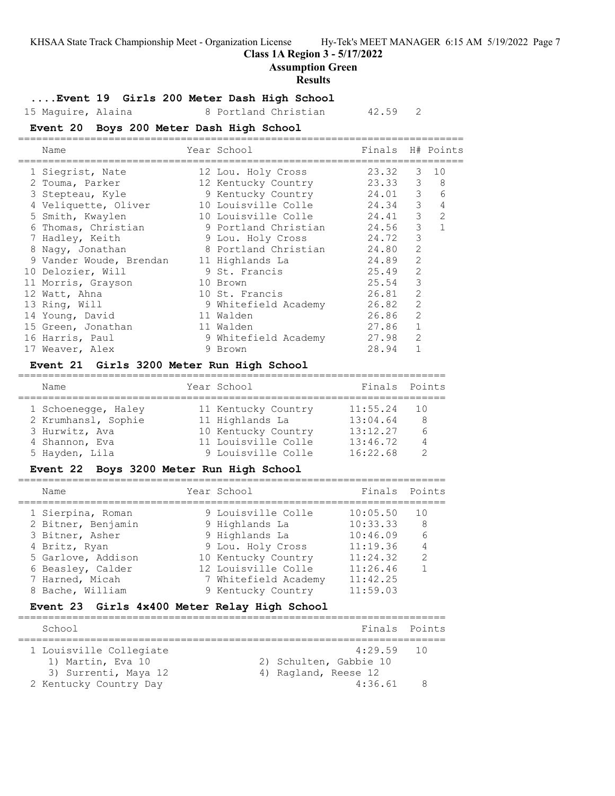=======================================================================

# **Class 1A Region 3 - 5/17/2022**

**Assumption Green**

#### **Results**

## **....Event 19 Girls 200 Meter Dash High School**

15 Maguire, Alaina **8** Portland Christian 42.59 2

# **Event 20 Boys 200 Meter Dash High School**

|  | Name                    | Year School          | Finals H# Points |                |                |
|--|-------------------------|----------------------|------------------|----------------|----------------|
|  | 1 Siegrist, Nate        | 12 Lou. Holy Cross   | 23.32            | 3 <sup>7</sup> | 10             |
|  | 2 Touma, Parker         | 12 Kentucky Country  | $23.33$ 3        |                | 8              |
|  | 3 Stepteau, Kyle        | 9 Kentucky Country   | 24.01 3 6        |                |                |
|  | 4 Veliquette, Oliver    | 10 Louisville Colle  | 24.34 3          |                | $\overline{4}$ |
|  | 5 Smith, Kwaylen        | 10 Louisville Colle  | 24.41 3          |                | $\overline{2}$ |
|  | 6 Thomas, Christian     | 9 Portland Christian | 24.56            | 3              | $\mathbf{1}$   |
|  | 7 Hadley, Keith         | 9 Lou. Holy Cross    | 24.72            | 3              |                |
|  | 8 Naqy, Jonathan        | 8 Portland Christian | 24.80            | $\overline{2}$ |                |
|  | 9 Vander Woude, Brendan | 11 Highlands La      | 24.89            | $\overline{2}$ |                |
|  | 10 Delozier, Will       | 9 St. Francis        | 25.49            | 2              |                |
|  | 11 Morris, Grayson      | 10 Brown             | 25.54            | 3              |                |
|  | 12 Watt, Ahna           | 10 St. Francis       | 26.81            | $\overline{2}$ |                |
|  | 13 Ring, Will           | 9 Whitefield Academy | 26.82            | $\overline{2}$ |                |
|  | 14 Young, David         | 11 Walden            | 26.86            | $\mathcal{L}$  |                |
|  | 15 Green, Jonathan      | 11 Walden            | 27.86            |                |                |
|  | 16 Harris, Paul         | 9 Whitefield Academy | 27.98            | $\overline{2}$ |                |
|  | 17 Weaver, Alex         | 9 Brown              | 28.94            |                |                |
|  |                         |                      |                  |                |                |

#### **Event 21 Girls 3200 Meter Run High School**

| Name                | Year School         | Finals Points |     |
|---------------------|---------------------|---------------|-----|
| 1 Schoenegge, Haley | 11 Kentucky Country | 11:55.24      | 1() |
| 2 Krumhansl, Sophie | 11 Highlands La     | 13:04.64      | 8   |
| 3 Hurwitz, Ava      | 10 Kentucky Country | 13:12.27      | 6   |
| 4 Shannon, Eva      | 11 Louisville Colle | 13:46.72      | 4   |
| 5 Hayden, Lila      | 9 Louisville Colle  | 16:22.68      |     |

## **Event 22 Boys 3200 Meter Run High School**

| Name               | Year School          | Finals Points |                |
|--------------------|----------------------|---------------|----------------|
| 1 Sierpina, Roman  | 9 Louisville Colle   | 10:05.50      | 1 O            |
| 2 Bitner, Benjamin | 9 Highlands La       | 10:33.33      | - 8            |
| 3 Bitner, Asher    | 9 Highlands La       | 10:46.09      | 6              |
| 4 Britz, Ryan      | 9 Lou. Holy Cross    | 11:19.36      | $\overline{4}$ |
| 5 Garlove, Addison | 10 Kentucky Country  | 11:24.32      | 2              |
| 6 Beasley, Calder  | 12 Louisville Colle  | 11:26.46      | 1              |
| 7 Harned, Micah    | 7 Whitefield Academy | 11:42.25      |                |
| 8 Bache, William   | 9 Kentucky Country   | 11:59.03      |                |

## **Event 23 Girls 4x400 Meter Relay High School**

| School                                                               | Finals Points                                                  |
|----------------------------------------------------------------------|----------------------------------------------------------------|
| 1 Louisville Collegiate<br>1) Martin, Eva 10<br>3) Surrenti, Maya 12 | $4:29.59$ 10<br>2) Schulten, Gabbie 10<br>4) Ragland, Reese 12 |
| 2 Kentucky Country Day                                               | 4:36.61                                                        |